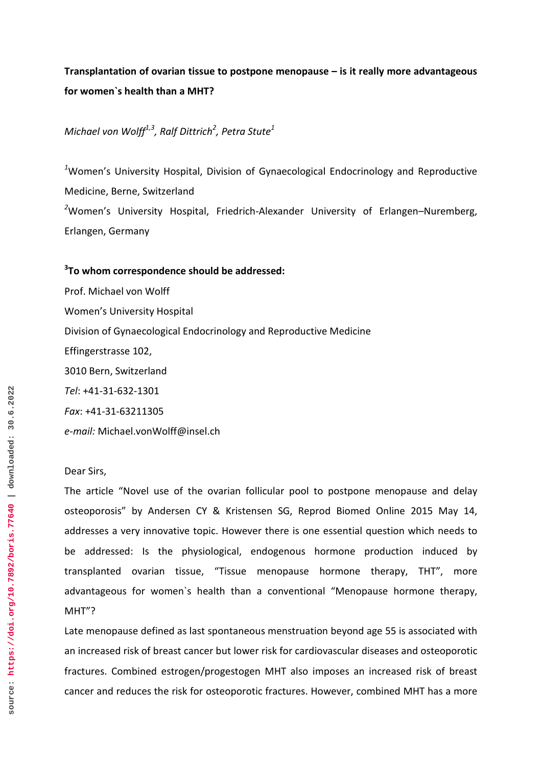## **Transplantation of ovarian tissue to postpone menopause – is it really more advantageous for women`s health than a MHT?**

*Michael von Wolff1,3, Ralf Dittrich2 , Petra Stute<sup>1</sup>*

*1* Women's University Hospital, Division of Gynaecological Endocrinology and Reproductive Medicine, Berne, Switzerland *2* Women's University Hospital, Friedrich-Alexander University of Erlangen–Nuremberg, Erlangen, Germany

## **3 To whom correspondence should be addressed:**

Prof. Michael von Wolff Women's University Hospital Division of Gynaecological Endocrinology and Reproductive Medicine Effingerstrasse 102, 3010 Bern, Switzerland *Tel*: +41-31-632-1301 *Fax*: +41-31-63211305 *e-mail:* Michael.vonWolff@insel.ch

## Dear Sirs,

The article "Novel use of the ovarian follicular pool to postpone menopause and delay osteoporosis" by Andersen CY & Kristensen SG, Reprod Biomed Online 2015 May 14, addresses a very innovative topic. However there is one essential question which needs to be addressed: Is the physiological, endogenous hormone production induced by transplanted ovarian tissue, "Tissue menopause hormone therapy, THT", more advantageous for women`s health than a conventional "Menopause hormone therapy, MHT"?

Late menopause defined as last spontaneous menstruation beyond age 55 is associated with an increased risk of breast cancer but lower risk for cardiovascular diseases and osteoporotic fractures. Combined estrogen/progestogen MHT also imposes an increased risk of breast cancer and reduces the risk for osteoporotic fractures. However, combined MHT has a more